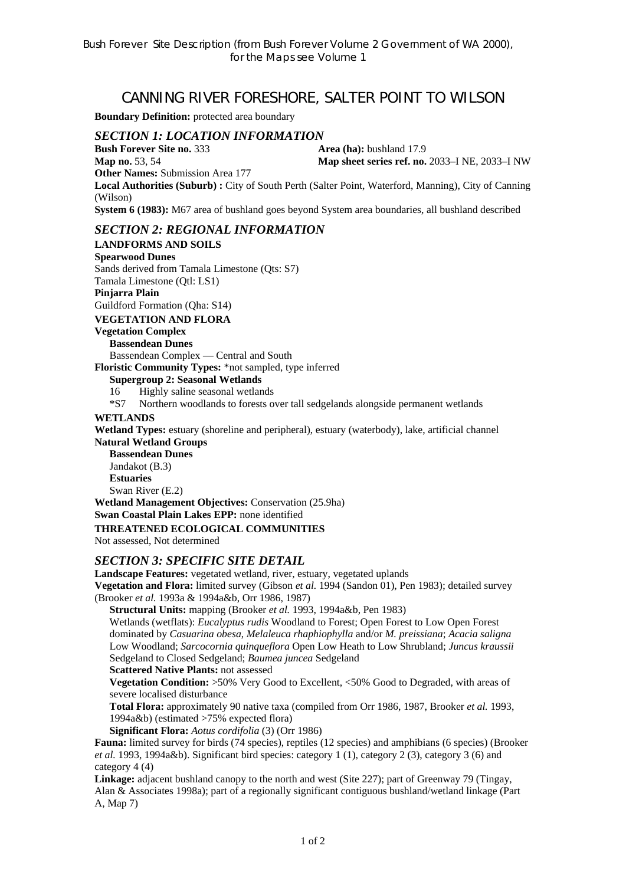# CANNING RIVER FORESHORE, SALTER POINT TO WILSON

**Boundary Definition:** protected area boundary

# *SECTION 1: LOCATION INFORMATION*

**Bush Forever Site no. 333** Area (ha): bushland 17.9

**Map no.** 53, 54 **Map sheet series ref. no.** 2033–I NE, 2033–I NW

**Other Names:** Submission Area 177

**Local Authorities (Suburb) :** City of South Perth (Salter Point, Waterford, Manning), City of Canning (Wilson)

**System 6 (1983):** M67 area of bushland goes beyond System area boundaries, all bushland described

## *SECTION 2: REGIONAL INFORMATION*

**LANDFORMS AND SOILS** 

**Spearwood Dunes** Sands derived from Tamala Limestone (Qts: S7) Tamala Limestone (Qtl: LS1) **Pinjarra Plain**  Guildford Formation (Qha: S14)

**VEGETATION AND FLORA** 

#### **Vegetation Complex Bassendean Dunes**

Bassendean Complex — Central and South

**Floristic Community Types:** \*not sampled, type inferred

#### **Supergroup 2: Seasonal Wetlands**

16 Highly saline seasonal wetlands

\*S7 Northern woodlands to forests over tall sedgelands alongside permanent wetlands

#### **WETLANDS**

**Wetland Types:** estuary (shoreline and peripheral), estuary (waterbody), lake, artificial channel **Natural Wetland Groups** 

**Bassendean Dunes**  Jandakot (B.3) **Estuaries**  Swan River (E.2)

**Wetland Management Objectives:** Conservation (25.9ha)

**Swan Coastal Plain Lakes EPP:** none identified

### **THREATENED ECOLOGICAL COMMUNITIES**

Not assessed, Not determined

#### *SECTION 3: SPECIFIC SITE DETAIL*

**Landscape Features:** vegetated wetland, river, estuary, vegetated uplands

**Vegetation and Flora:** limited survey (Gibson *et al.* 1994 (Sandon 01), Pen 1983); detailed survey (Brooker *et al.* 1993a & 1994a&b, Orr 1986, 1987)

**Structural Units:** mapping (Brooker *et al.* 1993, 1994a&b, Pen 1983)

Wetlands (wetflats): *Eucalyptus rudis* Woodland to Forest; Open Forest to Low Open Forest dominated by *Casuarina obesa*, *Melaleuca rhaphiophylla* and/or *M. preissiana*; *Acacia saligna*  Low Woodland; *Sarcocornia quinqueflora* Open Low Heath to Low Shrubland; *Juncus kraussii*  Sedgeland to Closed Sedgeland; *Baumea juncea* Sedgeland

**Scattered Native Plants:** not assessed

**Vegetation Condition:** >50% Very Good to Excellent, <50% Good to Degraded, with areas of severe localised disturbance

**Total Flora:** approximately 90 native taxa (compiled from Orr 1986, 1987, Brooker *et al.* 1993, 1994a&b) (estimated >75% expected flora)

**Significant Flora:** *Aotus cordifolia* (3) (Orr 1986)

**Fauna:** limited survey for birds (74 species), reptiles (12 species) and amphibians (6 species) (Brooker *et al.* 1993, 1994a&b). Significant bird species: category 1 (1), category 2 (3), category 3 (6) and category 4 (4)

**Linkage:** adjacent bushland canopy to the north and west (Site 227); part of Greenway 79 (Tingay, Alan & Associates 1998a); part of a regionally significant contiguous bushland/wetland linkage (Part A, Map 7)